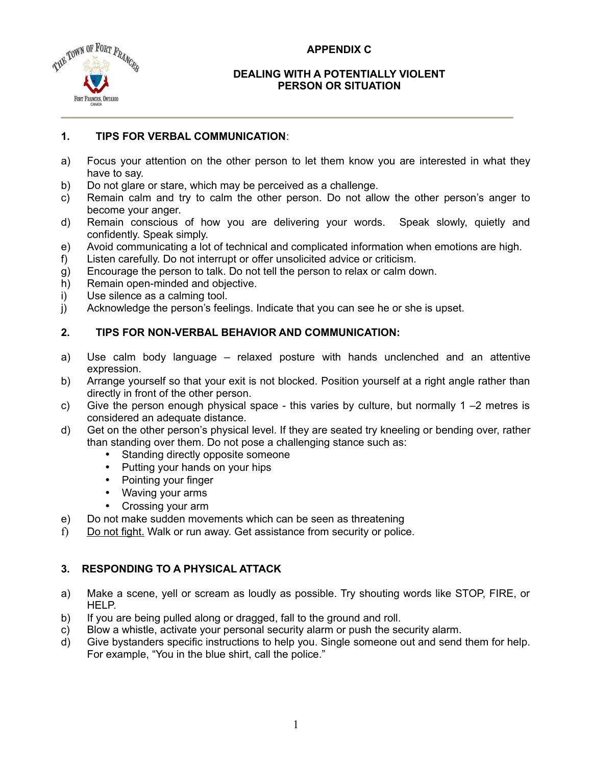### **APPENDIX C**



#### **DEALING WITH A POTENTIALLY VIOLENT PERSON OR SITUATION**

## **1. TIPS FOR VERBAL COMMUNICATION**:

- a) Focus your attention on the other person to let them know you are interested in what they have to say.
- b) Do not glare or stare, which may be perceived as a challenge.
- c) Remain calm and try to calm the other person. Do not allow the other person's anger to become your anger.
- d) Remain conscious of how you are delivering your words. Speak slowly, quietly and confidently. Speak simply.
- e) Avoid communicating a lot of technical and complicated information when emotions are high.
- f) Listen carefully. Do not interrupt or offer unsolicited advice or criticism.
- g) Encourage the person to talk. Do not tell the person to relax or calm down.
- h) Remain open-minded and objective.
- i) Use silence as a calming tool.
- j) Acknowledge the person's feelings. Indicate that you can see he or she is upset.

# **2. TIPS FOR NON-VERBAL BEHAVIOR AND COMMUNICATION:**

- a) Use calm body language relaxed posture with hands unclenched and an attentive expression.
- b) Arrange yourself so that your exit is not blocked. Position yourself at a right angle rather than directly in front of the other person.
- c) Give the person enough physical space this varies by culture, but normally  $1 2$  metres is considered an adequate distance.
- d) Get on the other person's physical level. If they are seated try kneeling or bending over, rather than standing over them. Do not pose a challenging stance such as:
	- Standing directly opposite someone
	- Putting your hands on your hips
	- Pointing your finger
	- Waving your arms
	- Crossing your arm
- e) Do not make sudden movements which can be seen as threatening
- f) Do not fight. Walk or run away. Get assistance from security or police.

## **3. RESPONDING TO A PHYSICAL ATTACK**

- a) Make a scene, yell or scream as loudly as possible. Try shouting words like STOP, FIRE, or HELP.
- b) If you are being pulled along or dragged, fall to the ground and roll.
- c) Blow a whistle, activate your personal security alarm or push the security alarm.
- d) Give bystanders specific instructions to help you. Single someone out and send them for help. For example, "You in the blue shirt, call the police."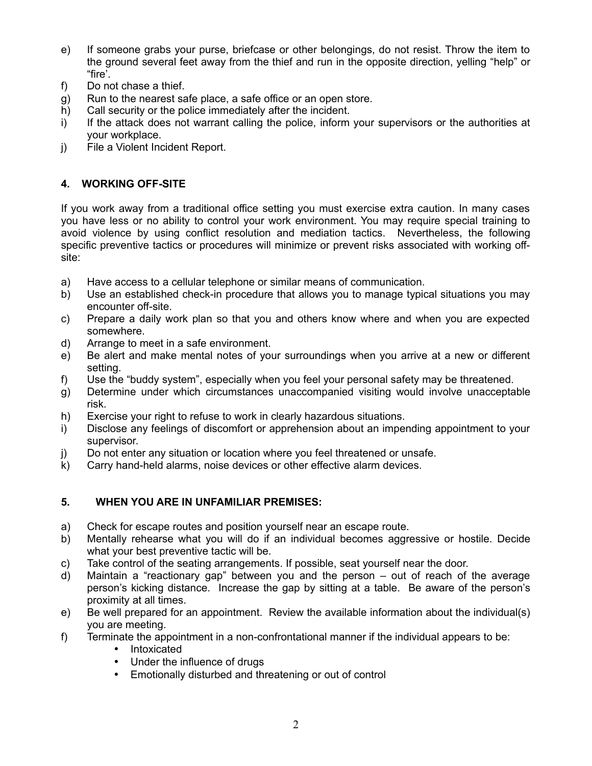- e) If someone grabs your purse, briefcase or other belongings, do not resist. Throw the item to the ground several feet away from the thief and run in the opposite direction, yelling "help" or "fire'.
- f) Do not chase a thief.
- g) Run to the nearest safe place, a safe office or an open store.
- h) Call security or the police immediately after the incident.
- i) If the attack does not warrant calling the police, inform your supervisors or the authorities at your workplace.
- j) File a Violent Incident Report.

### **4. WORKING OFF-SITE**

If you work away from a traditional office setting you must exercise extra caution. In many cases you have less or no ability to control your work environment. You may require special training to avoid violence by using conflict resolution and mediation tactics. Nevertheless, the following specific preventive tactics or procedures will minimize or prevent risks associated with working offsite:

- a) Have access to a cellular telephone or similar means of communication.
- b) Use an established check-in procedure that allows you to manage typical situations you may encounter off-site.
- c) Prepare a daily work plan so that you and others know where and when you are expected somewhere.
- d) Arrange to meet in a safe environment.
- e) Be alert and make mental notes of your surroundings when you arrive at a new or different setting.
- f) Use the "buddy system", especially when you feel your personal safety may be threatened.
- g) Determine under which circumstances unaccompanied visiting would involve unacceptable risk.
- h) Exercise your right to refuse to work in clearly hazardous situations.
- i) Disclose any feelings of discomfort or apprehension about an impending appointment to your supervisor.
- j) Do not enter any situation or location where you feel threatened or unsafe.
- k) Carry hand-held alarms, noise devices or other effective alarm devices.

### **5. WHEN YOU ARE IN UNFAMILIAR PREMISES:**

- a) Check for escape routes and position yourself near an escape route.
- b) Mentally rehearse what you will do if an individual becomes aggressive or hostile. Decide what your best preventive tactic will be.
- c) Take control of the seating arrangements. If possible, seat yourself near the door.
- d) Maintain a "reactionary gap" between you and the person out of reach of the average person's kicking distance. Increase the gap by sitting at a table. Be aware of the person's proximity at all times.
- e) Be well prepared for an appointment. Review the available information about the individual(s) you are meeting.
- f) Terminate the appointment in a non-confrontational manner if the individual appears to be:
	- Intoxicated
	- Under the influence of drugs
	- Emotionally disturbed and threatening or out of control